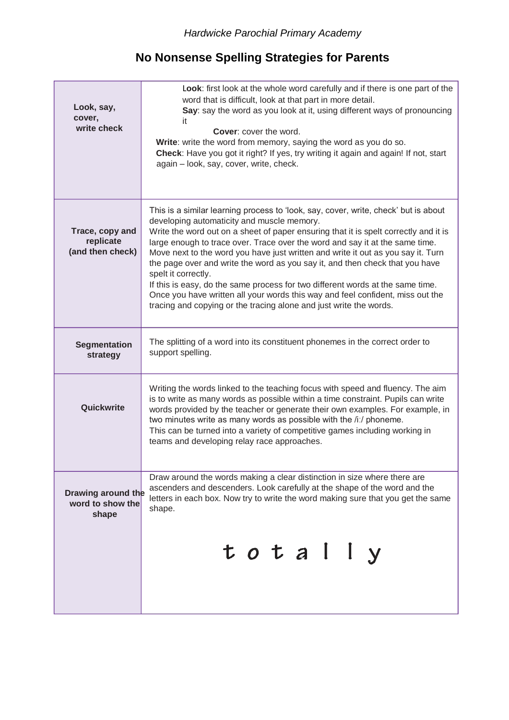## **No Nonsense Spelling Strategies for Parents**

| Look, say,<br>cover,<br>write check              | Look: first look at the whole word carefully and if there is one part of the<br>word that is difficult, look at that part in more detail.<br>Say: say the word as you look at it, using different ways of pronouncing<br>it<br><b>Cover:</b> cover the word.<br>Write: write the word from memory, saying the word as you do so.<br>Check: Have you got it right? If yes, try writing it again and again! If not, start<br>again - look, say, cover, write, check.                                                                                                                                                                                                                                                                             |
|--------------------------------------------------|------------------------------------------------------------------------------------------------------------------------------------------------------------------------------------------------------------------------------------------------------------------------------------------------------------------------------------------------------------------------------------------------------------------------------------------------------------------------------------------------------------------------------------------------------------------------------------------------------------------------------------------------------------------------------------------------------------------------------------------------|
| Trace, copy and<br>replicate<br>(and then check) | This is a similar learning process to 'look, say, cover, write, check' but is about<br>developing automaticity and muscle memory.<br>Write the word out on a sheet of paper ensuring that it is spelt correctly and it is<br>large enough to trace over. Trace over the word and say it at the same time.<br>Move next to the word you have just written and write it out as you say it. Turn<br>the page over and write the word as you say it, and then check that you have<br>spelt it correctly.<br>If this is easy, do the same process for two different words at the same time.<br>Once you have written all your words this way and feel confident, miss out the<br>tracing and copying or the tracing alone and just write the words. |
| <b>Segmentation</b><br>strategy                  | The splitting of a word into its constituent phonemes in the correct order to<br>support spelling.                                                                                                                                                                                                                                                                                                                                                                                                                                                                                                                                                                                                                                             |
| Quickwrite                                       | Writing the words linked to the teaching focus with speed and fluency. The aim<br>is to write as many words as possible within a time constraint. Pupils can write<br>words provided by the teacher or generate their own examples. For example, in<br>two minutes write as many words as possible with the /i:/ phoneme.<br>This can be turned into a variety of competitive games including working in<br>teams and developing relay race approaches.                                                                                                                                                                                                                                                                                        |
| Drawing around the<br>word to show the<br>shape  | Draw around the words making a clear distinction in size where there are<br>ascenders and descenders. Look carefully at the shape of the word and the<br>letters in each box. Now try to write the word making sure that you get the same<br>shape.                                                                                                                                                                                                                                                                                                                                                                                                                                                                                            |
|                                                  | totally                                                                                                                                                                                                                                                                                                                                                                                                                                                                                                                                                                                                                                                                                                                                        |